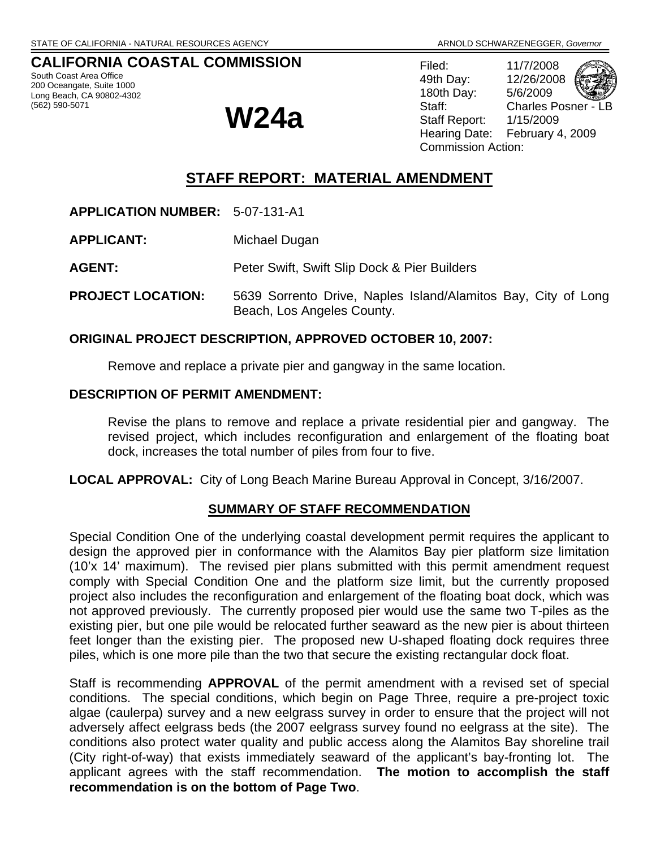### **CALIFORNIA COASTAL COMMISSION**

South Coast Area Office 200 Oceangate, Suite 1000 Long Beach, CA 90802-4302

# (562) 590-5071 **W24a**

Filed: 11/7/2008 49th Day: 12/26/2008 180th Day: 5/6/2009 Staff: Charles Posner - LB Staff Report: 1/15/2009 Hearing Date: February 4, 2009 Commission Action:



**APPLICATION NUMBER:** 5-07-131-A1

**APPLICANT:** Michael Dugan

**AGENT:** Peter Swift, Swift Slip Dock & Pier Builders

**PROJECT LOCATION:** 5639 Sorrento Drive, Naples Island/Alamitos Bay, City of Long Beach, Los Angeles County.

#### **ORIGINAL PROJECT DESCRIPTION, APPROVED OCTOBER 10, 2007:**

Remove and replace a private pier and gangway in the same location.

#### **DESCRIPTION OF PERMIT AMENDMENT:**

Revise the plans to remove and replace a private residential pier and gangway. The revised project, which includes reconfiguration and enlargement of the floating boat dock, increases the total number of piles from four to five.

**LOCAL APPROVAL:** City of Long Beach Marine Bureau Approval in Concept, 3/16/2007.

#### **SUMMARY OF STAFF RECOMMENDATION**

Special Condition One of the underlying coastal development permit requires the applicant to design the approved pier in conformance with the Alamitos Bay pier platform size limitation (10'x 14' maximum). The revised pier plans submitted with this permit amendment request comply with Special Condition One and the platform size limit, but the currently proposed project also includes the reconfiguration and enlargement of the floating boat dock, which was not approved previously. The currently proposed pier would use the same two T-piles as the existing pier, but one pile would be relocated further seaward as the new pier is about thirteen feet longer than the existing pier. The proposed new U-shaped floating dock requires three piles, which is one more pile than the two that secure the existing rectangular dock float.

Staff is recommending **APPROVAL** of the permit amendment with a revised set of special conditions. The special conditions, which begin on Page Three, require a pre-project toxic algae (caulerpa) survey and a new eelgrass survey in order to ensure that the project will not adversely affect eelgrass beds (the 2007 eelgrass survey found no eelgrass at the site). The conditions also protect water quality and public access along the Alamitos Bay shoreline trail (City right-of-way) that exists immediately seaward of the applicant's bay-fronting lot. The applicant agrees with the staff recommendation. **The motion to accomplish the staff recommendation is on the bottom of Page Two**.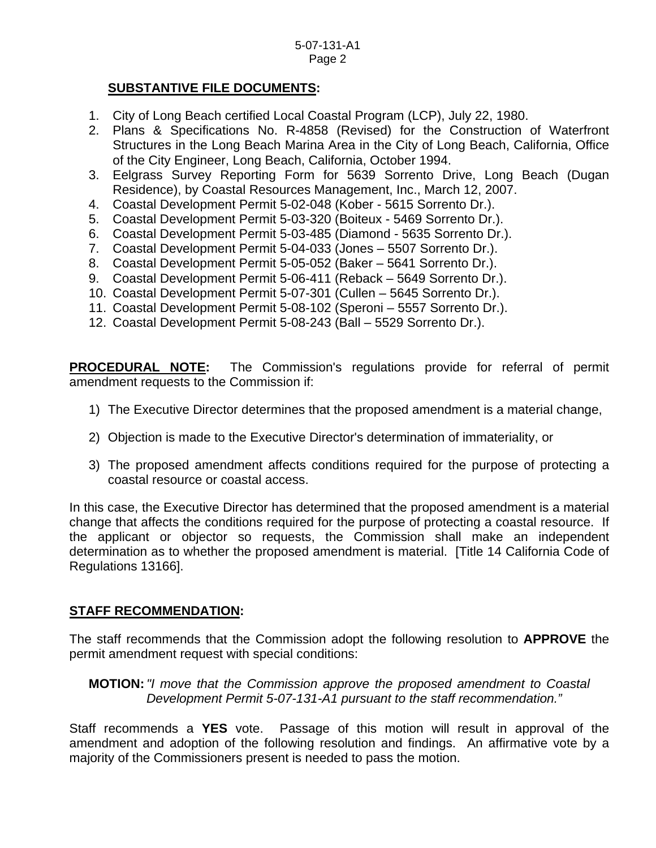#### **SUBSTANTIVE FILE DOCUMENTS:**

- 1. City of Long Beach certified Local Coastal Program (LCP), July 22, 1980.
- 2. Plans & Specifications No. R-4858 (Revised) for the Construction of Waterfront Structures in the Long Beach Marina Area in the City of Long Beach, California, Office of the City Engineer, Long Beach, California, October 1994.
- 3. Eelgrass Survey Reporting Form for 5639 Sorrento Drive, Long Beach (Dugan Residence), by Coastal Resources Management, Inc., March 12, 2007.
- 4. Coastal Development Permit 5-02-048 (Kober 5615 Sorrento Dr.).
- 5. Coastal Development Permit 5-03-320 (Boiteux 5469 Sorrento Dr.).
- 6. Coastal Development Permit 5-03-485 (Diamond 5635 Sorrento Dr.).
- 7. Coastal Development Permit 5-04-033 (Jones 5507 Sorrento Dr.).
- 8. Coastal Development Permit 5-05-052 (Baker 5641 Sorrento Dr.).
- 9. Coastal Development Permit 5-06-411 (Reback 5649 Sorrento Dr.).
- 10. Coastal Development Permit 5-07-301 (Cullen 5645 Sorrento Dr.).
- 11. Coastal Development Permit 5-08-102 (Speroni 5557 Sorrento Dr.).
- 12. Coastal Development Permit 5-08-243 (Ball 5529 Sorrento Dr.).

**PROCEDURAL NOTE:** The Commission's regulations provide for referral of permit amendment requests to the Commission if:

- 1) The Executive Director determines that the proposed amendment is a material change,
- 2) Objection is made to the Executive Director's determination of immateriality, or
- 3) The proposed amendment affects conditions required for the purpose of protecting a coastal resource or coastal access.

In this case, the Executive Director has determined that the proposed amendment is a material change that affects the conditions required for the purpose of protecting a coastal resource. If the applicant or objector so requests, the Commission shall make an independent determination as to whether the proposed amendment is material. [Title 14 California Code of Regulations 13166].

#### **STAFF RECOMMENDATION:**

The staff recommends that the Commission adopt the following resolution to **APPROVE** the permit amendment request with special conditions:

 **MOTION:** *"I move that the Commission approve the proposed amendment to Coastal Development Permit 5-07-131-A1 pursuant to the staff recommendation."* 

Staff recommends a **YES** vote. Passage of this motion will result in approval of the amendment and adoption of the following resolution and findings. An affirmative vote by a majority of the Commissioners present is needed to pass the motion.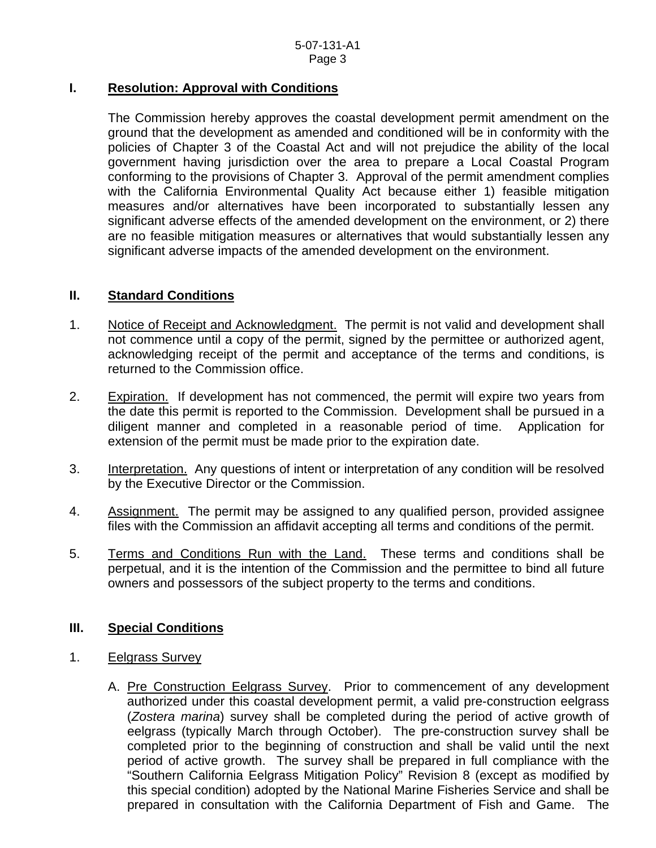#### **I. Resolution: Approval with Conditions**

The Commission hereby approves the coastal development permit amendment on the ground that the development as amended and conditioned will be in conformity with the policies of Chapter 3 of the Coastal Act and will not prejudice the ability of the local government having jurisdiction over the area to prepare a Local Coastal Program conforming to the provisions of Chapter 3. Approval of the permit amendment complies with the California Environmental Quality Act because either 1) feasible mitigation measures and/or alternatives have been incorporated to substantially lessen any significant adverse effects of the amended development on the environment, or 2) there are no feasible mitigation measures or alternatives that would substantially lessen any significant adverse impacts of the amended development on the environment.

#### **II. Standard Conditions**

- 1. Notice of Receipt and Acknowledgment. The permit is not valid and development shall not commence until a copy of the permit, signed by the permittee or authorized agent, acknowledging receipt of the permit and acceptance of the terms and conditions, is returned to the Commission office.
- 2. Expiration. If development has not commenced, the permit will expire two years from the date this permit is reported to the Commission. Development shall be pursued in a diligent manner and completed in a reasonable period of time. Application for extension of the permit must be made prior to the expiration date.
- 3. Interpretation. Any questions of intent or interpretation of any condition will be resolved by the Executive Director or the Commission.
- 4. Assignment. The permit may be assigned to any qualified person, provided assignee files with the Commission an affidavit accepting all terms and conditions of the permit.
- 5. Terms and Conditions Run with the Land. These terms and conditions shall be perpetual, and it is the intention of the Commission and the permittee to bind all future owners and possessors of the subject property to the terms and conditions.

#### **III. Special Conditions**

- 1. Eelgrass Survey
	- A. Pre Construction Eelgrass Survey. Prior to commencement of any development authorized under this coastal development permit, a valid pre-construction eelgrass (*Zostera marina*) survey shall be completed during the period of active growth of eelgrass (typically March through October). The pre-construction survey shall be completed prior to the beginning of construction and shall be valid until the next period of active growth. The survey shall be prepared in full compliance with the "Southern California Eelgrass Mitigation Policy" Revision 8 (except as modified by this special condition) adopted by the National Marine Fisheries Service and shall be prepared in consultation with the California Department of Fish and Game. The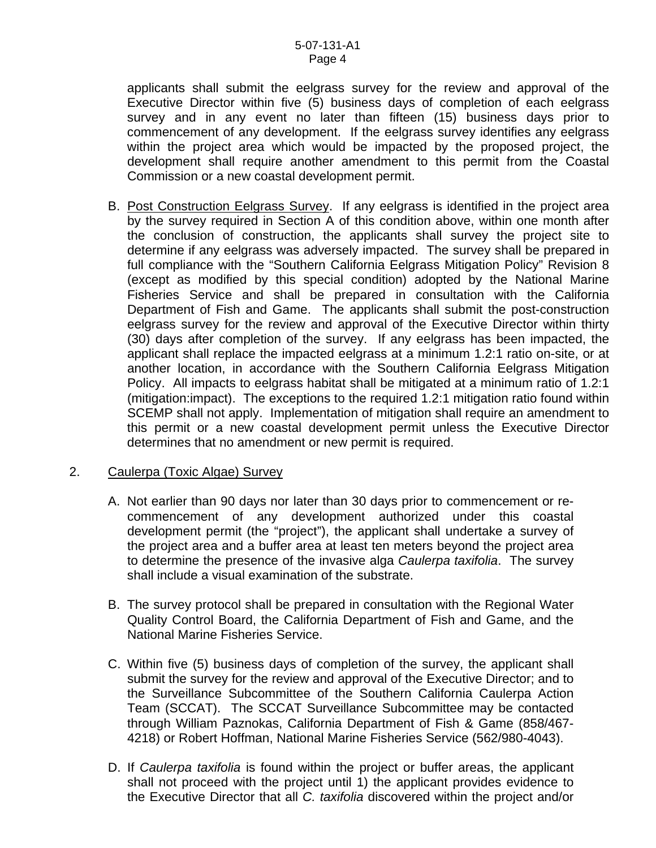applicants shall submit the eelgrass survey for the review and approval of the Executive Director within five (5) business days of completion of each eelgrass survey and in any event no later than fifteen (15) business days prior to commencement of any development. If the eelgrass survey identifies any eelgrass within the project area which would be impacted by the proposed project, the development shall require another amendment to this permit from the Coastal Commission or a new coastal development permit.

B. Post Construction Eelgrass Survey. If any eelgrass is identified in the project area by the survey required in Section A of this condition above, within one month after the conclusion of construction, the applicants shall survey the project site to determine if any eelgrass was adversely impacted. The survey shall be prepared in full compliance with the "Southern California Eelgrass Mitigation Policy" Revision 8 (except as modified by this special condition) adopted by the National Marine Fisheries Service and shall be prepared in consultation with the California Department of Fish and Game. The applicants shall submit the post-construction eelgrass survey for the review and approval of the Executive Director within thirty (30) days after completion of the survey. If any eelgrass has been impacted, the applicant shall replace the impacted eelgrass at a minimum 1.2:1 ratio on-site, or at another location, in accordance with the Southern California Eelgrass Mitigation Policy. All impacts to eelgrass habitat shall be mitigated at a minimum ratio of 1.2:1 (mitigation:impact). The exceptions to the required 1.2:1 mitigation ratio found within SCEMP shall not apply. Implementation of mitigation shall require an amendment to this permit or a new coastal development permit unless the Executive Director determines that no amendment or new permit is required.

#### 2. Caulerpa (Toxic Algae) Survey

- A. Not earlier than 90 days nor later than 30 days prior to commencement or recommencement of any development authorized under this coastal development permit (the "project"), the applicant shall undertake a survey of the project area and a buffer area at least ten meters beyond the project area to determine the presence of the invasive alga *Caulerpa taxifolia*. The survey shall include a visual examination of the substrate.
- B. The survey protocol shall be prepared in consultation with the Regional Water Quality Control Board, the California Department of Fish and Game, and the National Marine Fisheries Service.
- C. Within five (5) business days of completion of the survey, the applicant shall submit the survey for the review and approval of the Executive Director; and to the Surveillance Subcommittee of the Southern California Caulerpa Action Team (SCCAT). The SCCAT Surveillance Subcommittee may be contacted through William Paznokas, California Department of Fish & Game (858/467- 4218) or Robert Hoffman, National Marine Fisheries Service (562/980-4043).
- D. If *Caulerpa taxifolia* is found within the project or buffer areas, the applicant shall not proceed with the project until 1) the applicant provides evidence to the Executive Director that all *C. taxifolia* discovered within the project and/or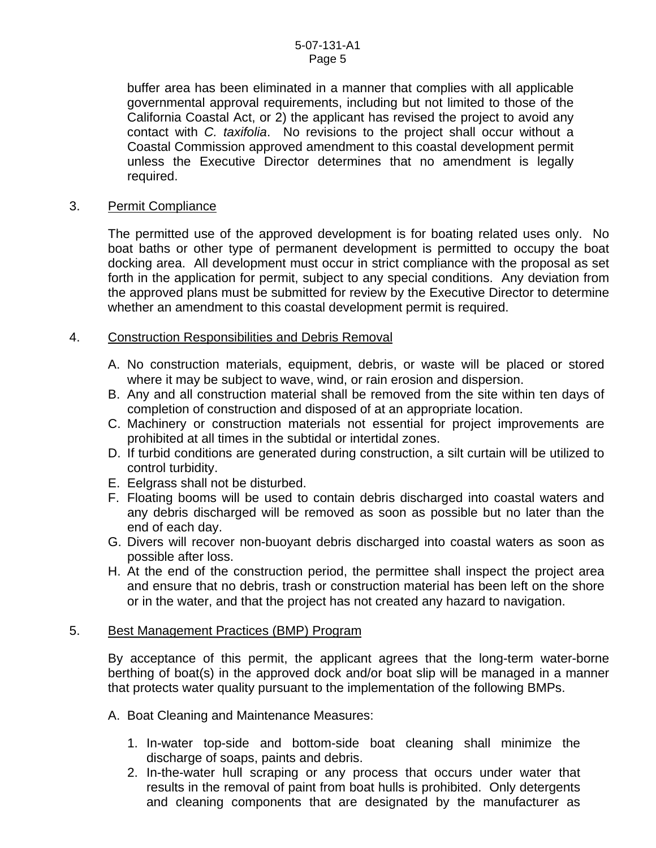buffer area has been eliminated in a manner that complies with all applicable governmental approval requirements, including but not limited to those of the California Coastal Act, or 2) the applicant has revised the project to avoid any contact with *C. taxifolia*. No revisions to the project shall occur without a Coastal Commission approved amendment to this coastal development permit unless the Executive Director determines that no amendment is legally required.

#### 3. Permit Compliance

 The permitted use of the approved development is for boating related uses only. No boat baths or other type of permanent development is permitted to occupy the boat docking area. All development must occur in strict compliance with the proposal as set forth in the application for permit, subject to any special conditions. Any deviation from the approved plans must be submitted for review by the Executive Director to determine whether an amendment to this coastal development permit is required.

#### 4. Construction Responsibilities and Debris Removal

- A. No construction materials, equipment, debris, or waste will be placed or stored where it may be subject to wave, wind, or rain erosion and dispersion.
- B. Any and all construction material shall be removed from the site within ten days of completion of construction and disposed of at an appropriate location.
- C. Machinery or construction materials not essential for project improvements are prohibited at all times in the subtidal or intertidal zones.
- D. If turbid conditions are generated during construction, a silt curtain will be utilized to control turbidity.
- E. Eelgrass shall not be disturbed.
- F. Floating booms will be used to contain debris discharged into coastal waters and any debris discharged will be removed as soon as possible but no later than the end of each day.
- G. Divers will recover non-buoyant debris discharged into coastal waters as soon as possible after loss.
- H. At the end of the construction period, the permittee shall inspect the project area and ensure that no debris, trash or construction material has been left on the shore or in the water, and that the project has not created any hazard to navigation.

#### 5. Best Management Practices (BMP) Program

By acceptance of this permit, the applicant agrees that the long-term water-borne berthing of boat(s) in the approved dock and/or boat slip will be managed in a manner that protects water quality pursuant to the implementation of the following BMPs.

- A. Boat Cleaning and Maintenance Measures:
	- 1. In-water top-side and bottom-side boat cleaning shall minimize the discharge of soaps, paints and debris.
	- 2. In-the-water hull scraping or any process that occurs under water that results in the removal of paint from boat hulls is prohibited. Only detergents and cleaning components that are designated by the manufacturer as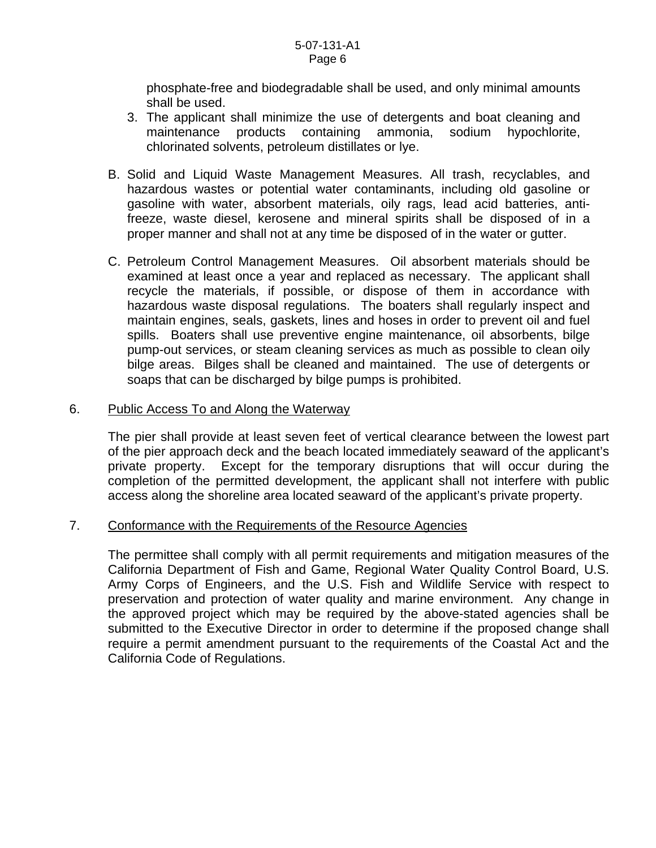phosphate-free and biodegradable shall be used, and only minimal amounts shall be used.

- 3. The applicant shall minimize the use of detergents and boat cleaning and maintenance products containing ammonia, sodium hypochlorite, chlorinated solvents, petroleum distillates or lye.
- B. Solid and Liquid Waste Management Measures. All trash, recyclables, and hazardous wastes or potential water contaminants, including old gasoline or gasoline with water, absorbent materials, oily rags, lead acid batteries, antifreeze, waste diesel, kerosene and mineral spirits shall be disposed of in a proper manner and shall not at any time be disposed of in the water or gutter.
- C. Petroleum Control Management Measures. Oil absorbent materials should be examined at least once a year and replaced as necessary. The applicant shall recycle the materials, if possible, or dispose of them in accordance with hazardous waste disposal regulations. The boaters shall regularly inspect and maintain engines, seals, gaskets, lines and hoses in order to prevent oil and fuel spills. Boaters shall use preventive engine maintenance, oil absorbents, bilge pump-out services, or steam cleaning services as much as possible to clean oily bilge areas. Bilges shall be cleaned and maintained. The use of detergents or soaps that can be discharged by bilge pumps is prohibited.

#### 6. Public Access To and Along the Waterway

The pier shall provide at least seven feet of vertical clearance between the lowest part of the pier approach deck and the beach located immediately seaward of the applicant's private property. Except for the temporary disruptions that will occur during the completion of the permitted development, the applicant shall not interfere with public access along the shoreline area located seaward of the applicant's private property.

#### 7. Conformance with the Requirements of the Resource Agencies

 The permittee shall comply with all permit requirements and mitigation measures of the California Department of Fish and Game, Regional Water Quality Control Board, U.S. Army Corps of Engineers, and the U.S. Fish and Wildlife Service with respect to preservation and protection of water quality and marine environment. Any change in the approved project which may be required by the above-stated agencies shall be submitted to the Executive Director in order to determine if the proposed change shall require a permit amendment pursuant to the requirements of the Coastal Act and the California Code of Regulations.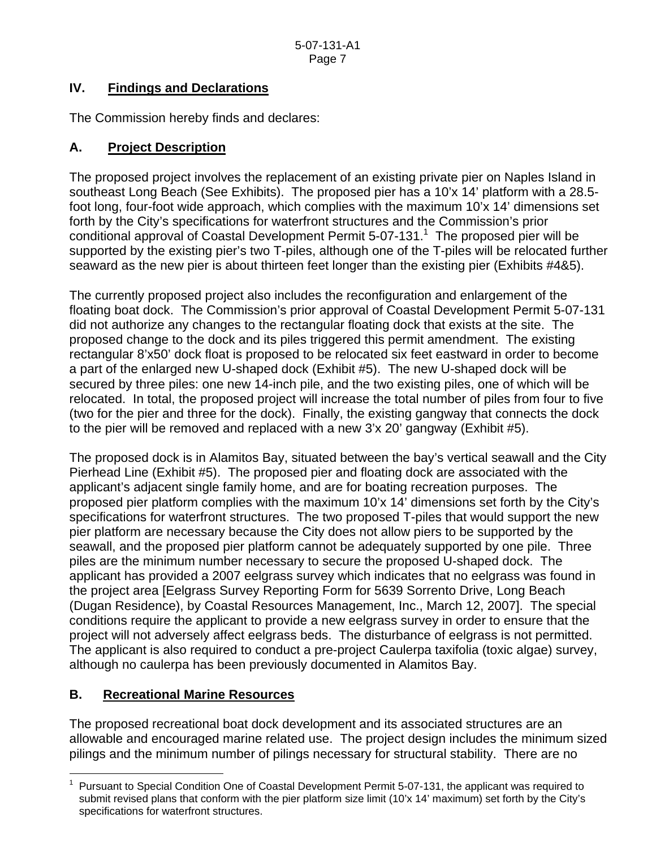## **IV. Findings and Declarations**

The Commission hereby finds and declares:

## **A. Project Description**

The proposed project involves the replacement of an existing private pier on Naples Island in southeast Long Beach (See Exhibits). The proposed pier has a 10'x 14' platform with a 28.5 foot long, four-foot wide approach, which complies with the maximum 10'x 14' dimensions set forth by the City's specifications for waterfront structures and the Commission's prior conditional approval of Coastal Development Permit 5-07-[1](#page-6-0)31.<sup>1</sup> The proposed pier will be supported by the existing pier's two T-piles, although one of the T-piles will be relocated further seaward as the new pier is about thirteen feet longer than the existing pier (Exhibits #4&5).

The currently proposed project also includes the reconfiguration and enlargement of the floating boat dock. The Commission's prior approval of Coastal Development Permit 5-07-131 did not authorize any changes to the rectangular floating dock that exists at the site. The proposed change to the dock and its piles triggered this permit amendment. The existing rectangular 8'x50' dock float is proposed to be relocated six feet eastward in order to become a part of the enlarged new U-shaped dock (Exhibit #5). The new U-shaped dock will be secured by three piles: one new 14-inch pile, and the two existing piles, one of which will be relocated. In total, the proposed project will increase the total number of piles from four to five (two for the pier and three for the dock). Finally, the existing gangway that connects the dock to the pier will be removed and replaced with a new 3'x 20' gangway (Exhibit #5).

The proposed dock is in Alamitos Bay, situated between the bay's vertical seawall and the City Pierhead Line (Exhibit #5). The proposed pier and floating dock are associated with the applicant's adjacent single family home, and are for boating recreation purposes. The proposed pier platform complies with the maximum 10'x 14' dimensions set forth by the City's specifications for waterfront structures. The two proposed T-piles that would support the new pier platform are necessary because the City does not allow piers to be supported by the seawall, and the proposed pier platform cannot be adequately supported by one pile. Three piles are the minimum number necessary to secure the proposed U-shaped dock. The applicant has provided a 2007 eelgrass survey which indicates that no eelgrass was found in the project area [Eelgrass Survey Reporting Form for 5639 Sorrento Drive, Long Beach (Dugan Residence), by Coastal Resources Management, Inc., March 12, 2007]. The special conditions require the applicant to provide a new eelgrass survey in order to ensure that the project will not adversely affect eelgrass beds. The disturbance of eelgrass is not permitted. The applicant is also required to conduct a pre-project Caulerpa taxifolia (toxic algae) survey, although no caulerpa has been previously documented in Alamitos Bay.

## **B. Recreational Marine Resources**

The proposed recreational boat dock development and its associated structures are an allowable and encouraged marine related use. The project design includes the minimum sized pilings and the minimum number of pilings necessary for structural stability. There are no

<span id="page-6-0"></span> $\overline{a}$ 1 Pursuant to Special Condition One of Coastal Development Permit 5-07-131, the applicant was required to submit revised plans that conform with the pier platform size limit (10'x 14' maximum) set forth by the City's specifications for waterfront structures.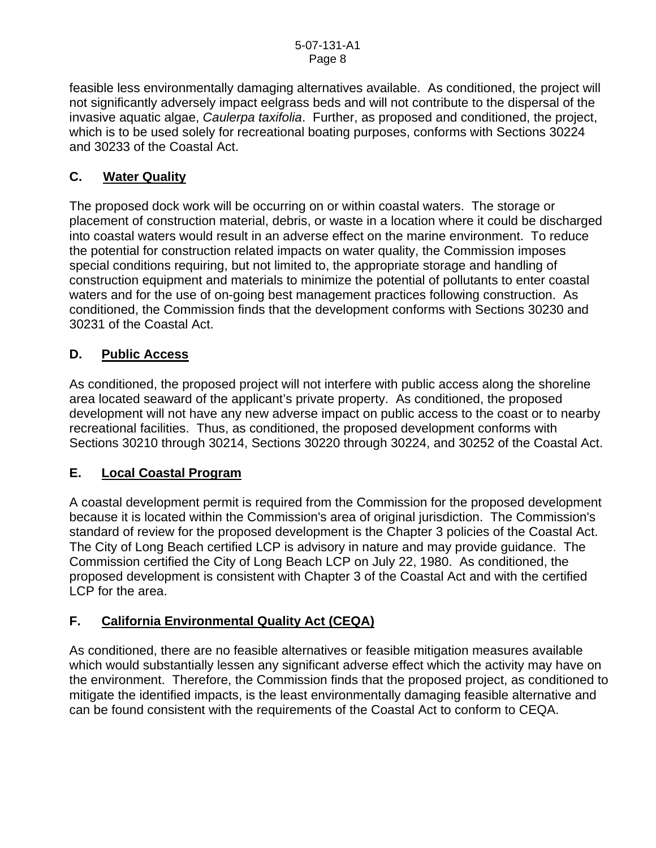feasible less environmentally damaging alternatives available. As conditioned, the project will not significantly adversely impact eelgrass beds and will not contribute to the dispersal of the invasive aquatic algae, *Caulerpa taxifolia*. Further, as proposed and conditioned, the project, which is to be used solely for recreational boating purposes, conforms with Sections 30224 and 30233 of the Coastal Act.

## **C. Water Quality**

The proposed dock work will be occurring on or within coastal waters. The storage or placement of construction material, debris, or waste in a location where it could be discharged into coastal waters would result in an adverse effect on the marine environment. To reduce the potential for construction related impacts on water quality, the Commission imposes special conditions requiring, but not limited to, the appropriate storage and handling of construction equipment and materials to minimize the potential of pollutants to enter coastal waters and for the use of on-going best management practices following construction. As conditioned, the Commission finds that the development conforms with Sections 30230 and 30231 of the Coastal Act.

## **D. Public Access**

As conditioned, the proposed project will not interfere with public access along the shoreline area located seaward of the applicant's private property. As conditioned, the proposed development will not have any new adverse impact on public access to the coast or to nearby recreational facilities. Thus, as conditioned, the proposed development conforms with Sections 30210 through 30214, Sections 30220 through 30224, and 30252 of the Coastal Act.

## **E. Local Coastal Program**

A coastal development permit is required from the Commission for the proposed development because it is located within the Commission's area of original jurisdiction. The Commission's standard of review for the proposed development is the Chapter 3 policies of the Coastal Act. The City of Long Beach certified LCP is advisory in nature and may provide guidance. The Commission certified the City of Long Beach LCP on July 22, 1980. As conditioned, the proposed development is consistent with Chapter 3 of the Coastal Act and with the certified LCP for the area.

## **F. California Environmental Quality Act (CEQA)**

As conditioned, there are no feasible alternatives or feasible mitigation measures available which would substantially lessen any significant adverse effect which the activity may have on the environment. Therefore, the Commission finds that the proposed project, as conditioned to mitigate the identified impacts, is the least environmentally damaging feasible alternative and can be found consistent with the requirements of the Coastal Act to conform to CEQA.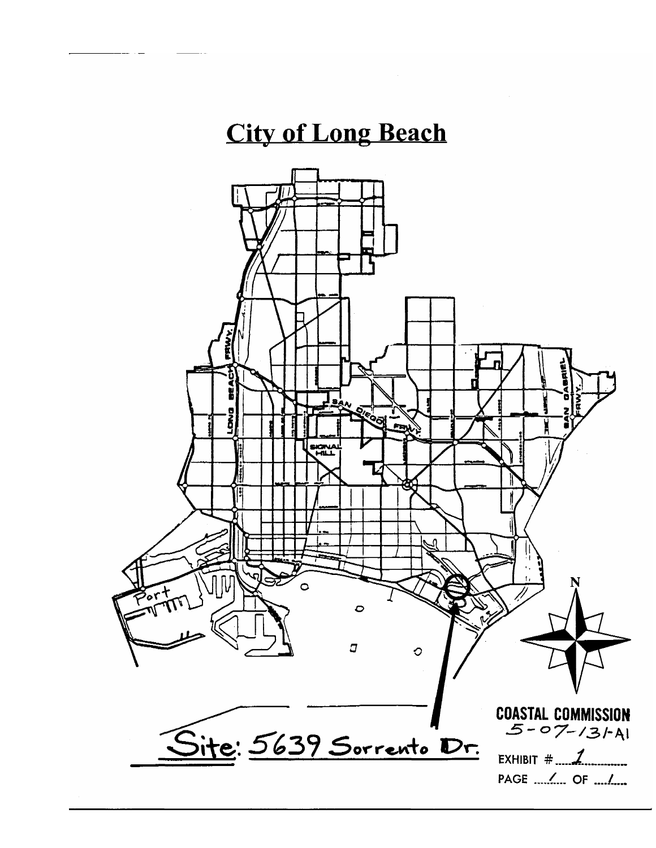## **City of Long Beach**

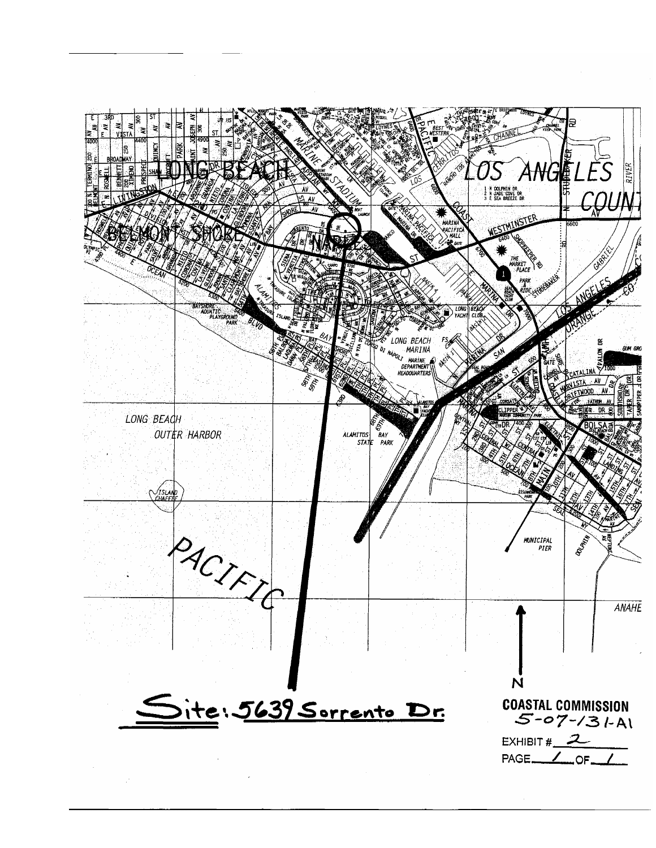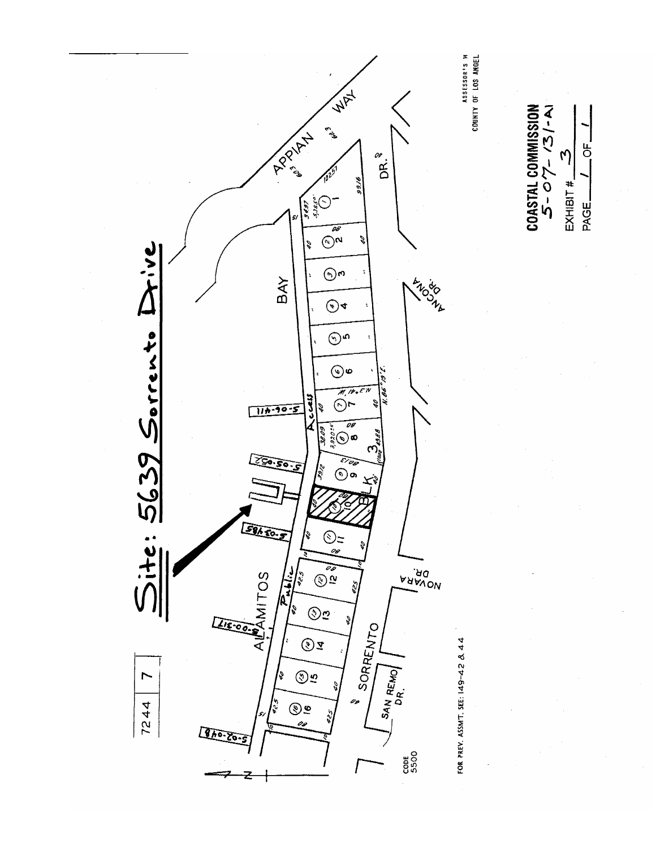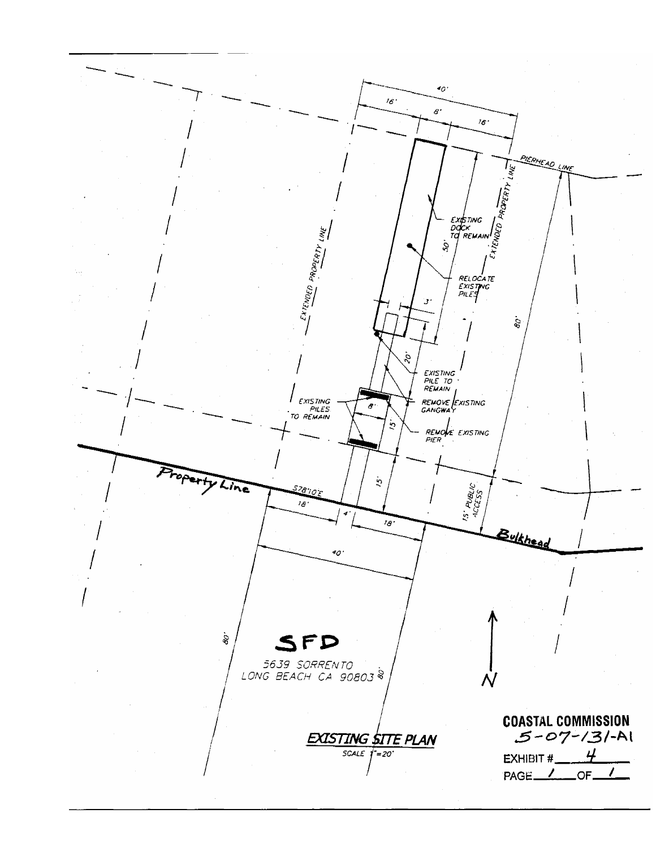